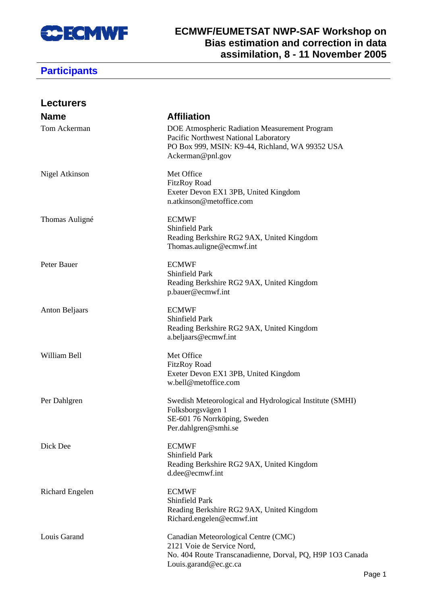

#### **ECMWF/EUMETSAT NWP-SAF Workshop on Bias estimation and correction in data assimilation, 8 - 11 November 2005**

| <b>Lecturers</b>       |                                                                                                                                                               |
|------------------------|---------------------------------------------------------------------------------------------------------------------------------------------------------------|
| <b>Name</b>            | <b>Affiliation</b>                                                                                                                                            |
| Tom Ackerman           | DOE Atmospheric Radiation Measurement Program<br>Pacific Northwest National Laboratory<br>PO Box 999, MSIN: K9-44, Richland, WA 99352 USA<br>Ackerman@pnl.gov |
| Nigel Atkinson         | Met Office<br><b>FitzRoy Road</b><br>Exeter Devon EX1 3PB, United Kingdom<br>n.atkinson@metoffice.com                                                         |
| Thomas Auligné         | <b>ECMWF</b><br>Shinfield Park<br>Reading Berkshire RG2 9AX, United Kingdom<br>Thomas.auligne@ecmwf.int                                                       |
| Peter Bauer            | <b>ECMWF</b><br>Shinfield Park<br>Reading Berkshire RG2 9AX, United Kingdom<br>p.bauer@ecmwf.int                                                              |
| <b>Anton Beljaars</b>  | <b>ECMWF</b><br>Shinfield Park<br>Reading Berkshire RG2 9AX, United Kingdom<br>a.beljaars@ecmwf.int                                                           |
| William Bell           | Met Office<br><b>FitzRoy Road</b><br>Exeter Devon EX1 3PB, United Kingdom<br>w.bell@metoffice.com                                                             |
| Per Dahlgren           | Swedish Meteorological and Hydrological Institute (SMHI)<br>Folksborgsvägen 1<br>SE-601 76 Norrköping, Sweden<br>Per.dahlgren@smhi.se                         |
| Dick Dee               | <b>ECMWF</b><br>Shinfield Park<br>Reading Berkshire RG2 9AX, United Kingdom<br>d.dee@ecmwf.int                                                                |
| <b>Richard Engelen</b> | <b>ECMWF</b><br>Shinfield Park<br>Reading Berkshire RG2 9AX, United Kingdom<br>Richard.engelen@ecmwf.int                                                      |
| Louis Garand           | Canadian Meteorological Centre (CMC)<br>2121 Voie de Service Nord,<br>No. 404 Route Transcanadienne, Dorval, PQ, H9P 1O3 Canada<br>Louis.garand@ec.gc.ca      |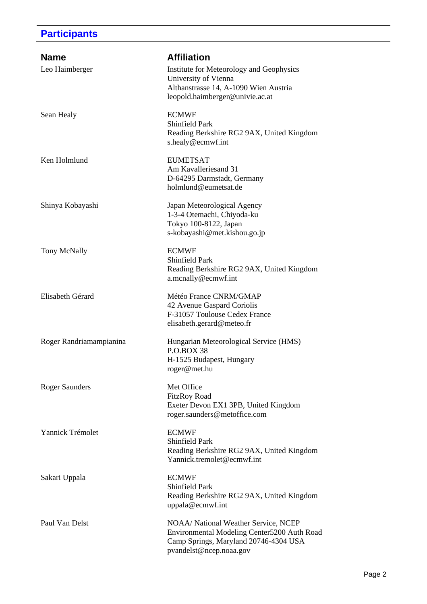| <b>Name</b>             | <b>Affiliation</b>                                                                                                                                      |
|-------------------------|---------------------------------------------------------------------------------------------------------------------------------------------------------|
| Leo Haimberger          | Institute for Meteorology and Geophysics<br>University of Vienna<br>Althanstrasse 14, A-1090 Wien Austria<br>leopold.haimberger@univie.ac.at            |
| Sean Healy              | <b>ECMWF</b><br>Shinfield Park<br>Reading Berkshire RG2 9AX, United Kingdom<br>s.healy@ecmwf.int                                                        |
| Ken Holmlund            | <b>EUMETSAT</b><br>Am Kavalleriesand 31<br>D-64295 Darmstadt, Germany<br>holmlund@eumetsat.de                                                           |
| Shinya Kobayashi        | Japan Meteorological Agency<br>1-3-4 Otemachi, Chiyoda-ku<br>Tokyo 100-8122, Japan<br>s-kobayashi@met.kishou.go.jp                                      |
| Tony McNally            | <b>ECMWF</b><br>Shinfield Park<br>Reading Berkshire RG2 9AX, United Kingdom<br>a.mcnally@ecmwf.int                                                      |
| Elisabeth Gérard        | Météo France CNRM/GMAP<br>42 Avenue Gaspard Coriolis<br>F-31057 Toulouse Cedex France<br>elisabeth.gerard@meteo.fr                                      |
| Roger Randriamampianina | Hungarian Meteorological Service (HMS)<br><b>P.O.BOX 38</b><br>H-1525 Budapest, Hungary<br>roger@met.hu                                                 |
| <b>Roger Saunders</b>   | Met Office<br><b>FitzRoy Road</b><br>Exeter Devon EX1 3PB, United Kingdom<br>roger.saunders@metoffice.com                                               |
| Yannick Trémolet        | <b>ECMWF</b><br>Shinfield Park<br>Reading Berkshire RG2 9AX, United Kingdom<br>Yannick.tremolet@ecmwf.int                                               |
| Sakari Uppala           | <b>ECMWF</b><br><b>Shinfield Park</b><br>Reading Berkshire RG2 9AX, United Kingdom<br>uppala@ecmwf.int                                                  |
| Paul Van Delst          | NOAA/ National Weather Service, NCEP<br>Environmental Modeling Center5200 Auth Road<br>Camp Springs, Maryland 20746-4304 USA<br>pvandelst@ncep.noaa.gov |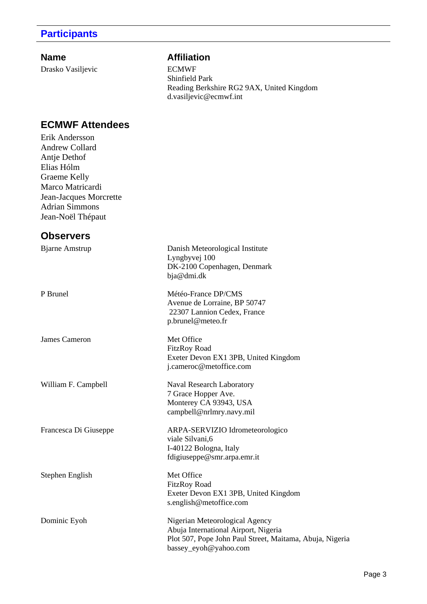Drasko Vasiljevic ECMWF

#### **Name** Affiliation

Shinfield Park Reading Berkshire RG2 9AX, United Kingdom d.vasiljevic@ecmwf.int

## **ECMWF Attendees**

Erik Andersson Andrew Collard Antje Dethof Elias Hólm Graeme Kelly Marco Matricardi Jean-Jacques Morcrette Adrian Simmons Jean-Noël Thépaut

### **Observers**

| <b>Bjarne Amstrup</b> | Danish Meteorological Institute<br>Lyngbyvej 100<br>DK-2100 Copenhagen, Denmark<br>bja@dmi.dk                                                               |
|-----------------------|-------------------------------------------------------------------------------------------------------------------------------------------------------------|
| P Brunel              | Météo-France DP/CMS<br>Avenue de Lorraine, BP 50747<br>22307 Lannion Cedex, France<br>p.brunel@meteo.fr                                                     |
| <b>James Cameron</b>  | Met Office<br><b>FitzRoy Road</b><br>Exeter Devon EX1 3PB, United Kingdom<br>j.cameroc@metoffice.com                                                        |
| William F. Campbell   | Naval Research Laboratory<br>7 Grace Hopper Ave.<br>Monterey CA 93943, USA<br>campbell@nrlmry.navy.mil                                                      |
| Francesca Di Giuseppe | ARPA-SERVIZIO Idrometeorologico<br>viale Silvani, 6<br>I-40122 Bologna, Italy<br>fdigiuseppe@smr.arpa.emr.it                                                |
| Stephen English       | Met Office<br><b>FitzRoy Road</b><br>Exeter Devon EX1 3PB, United Kingdom<br>s.english@metoffice.com                                                        |
| Dominic Eyoh          | Nigerian Meteorological Agency<br>Abuja International Airport, Nigeria<br>Plot 507, Pope John Paul Street, Maitama, Abuja, Nigeria<br>bassey_eyoh@yahoo.com |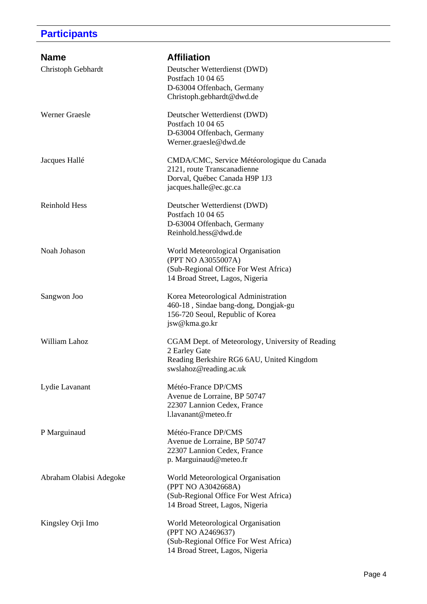| <b>Name</b>             | <b>Affiliation</b>                                                        |
|-------------------------|---------------------------------------------------------------------------|
| Christoph Gebhardt      | Deutscher Wetterdienst (DWD)<br>Postfach 10 04 65                         |
|                         | D-63004 Offenbach, Germany<br>Christoph.gebhardt@dwd.de                   |
| <b>Werner Graesle</b>   | Deutscher Wetterdienst (DWD)<br>Postfach 10 04 65                         |
|                         | D-63004 Offenbach, Germany                                                |
|                         | Werner.graesle@dwd.de                                                     |
| Jacques Hallé           | CMDA/CMC, Service Météorologique du Canada<br>2121, route Transcanadienne |
|                         | Dorval, Québec Canada H9P 1J3                                             |
|                         | jacques.halle@ec.gc.ca                                                    |
| Reinhold Hess           | Deutscher Wetterdienst (DWD)                                              |
|                         | Postfach 10 04 65<br>D-63004 Offenbach, Germany                           |
|                         | Reinhold.hess@dwd.de                                                      |
| Noah Johason            | World Meteorological Organisation                                         |
|                         | (PPT NO A3055007A)<br>(Sub-Regional Office For West Africa)               |
|                         | 14 Broad Street, Lagos, Nigeria                                           |
| Sangwon Joo             | Korea Meteorological Administration                                       |
|                         | 460-18, Sindae bang-dong, Dongjak-gu                                      |
|                         | 156-720 Seoul, Republic of Korea<br>jsw@kma.go.kr                         |
| William Lahoz           | CGAM Dept. of Meteorology, University of Reading                          |
|                         | 2 Earley Gate<br>Reading Berkshire RG6 6AU, United Kingdom                |
|                         | swslahoz@reading.ac.uk                                                    |
| Lydie Lavanant          | Météo-France DP/CMS                                                       |
|                         | Avenue de Lorraine, BP 50747<br>22307 Lannion Cedex, France               |
|                         | l.lavanant@meteo.fr                                                       |
| P Marguinaud            | Météo-France DP/CMS                                                       |
|                         | Avenue de Lorraine, BP 50747<br>22307 Lannion Cedex, France               |
|                         | p. Marguinaud@meteo.fr                                                    |
| Abraham Olabisi Adegoke | World Meteorological Organisation                                         |
|                         | (PPT NO A3042668A)                                                        |
|                         | (Sub-Regional Office For West Africa)<br>14 Broad Street, Lagos, Nigeria  |
|                         |                                                                           |
| Kingsley Orji Imo       | World Meteorological Organisation<br>(PPT NO A2469637)                    |
|                         | (Sub-Regional Office For West Africa)                                     |
|                         | 14 Broad Street, Lagos, Nigeria                                           |